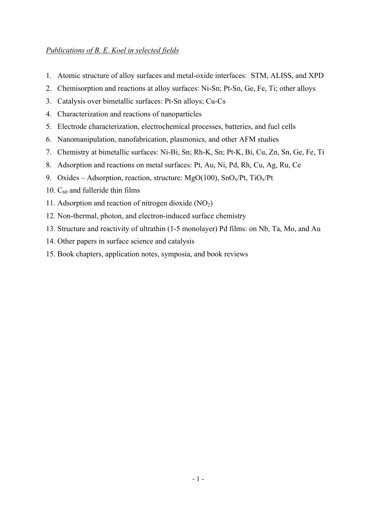## *Publications of B. E. Koel in selected fields*

- 1. Atomic structure of alloy surfaces and metal-oxide interfaces: STM, ALISS, and XPD
- 2. Chemisorption and reactions at alloy surfaces: Ni-Sn; Pt-Sn, Ge, Fe, Ti; other alloys
- 3. Catalysis over bimetallic surfaces: Pt-Sn alloys; Cu-Cs
- 4. Characterization and reactions of nanoparticles
- 5. Electrode characterization, electrochemical processes, batteries, and fuel cells
- 6. Nanomanipulation, nanofabrication, plasmonics, and other AFM studies
- 7. Chemistry at bimetallic surfaces: Ni-Bi, Sn; Rh-K, Sn; Pt-K, Bi, Cu, Zn, Sn, Ge, Fe, Ti
- 8. Adsorption and reactions on metal surfaces: Pt, Au, Ni, Pd, Rh, Cu, Ag, Ru, Ce
- 9. Oxides Adsorption, reaction, structure: MgO(100),  $SnO_x/Pt$ , TiO<sub>x</sub>/Pt
- 10.  $C_{60}$  and fulleride thin films
- 11. Adsorption and reaction of nitrogen dioxide  $(NO<sub>2</sub>)$
- 12. Non-thermal, photon, and electron-induced surface chemistry
- 13. Structure and reactivity of ultrathin (1-5 monolayer) Pd films: on Nb, Ta, Mo, and Au
- 14. Other papers in surface science and catalysis
- 15. Book chapters, application notes, symposia, and book reviews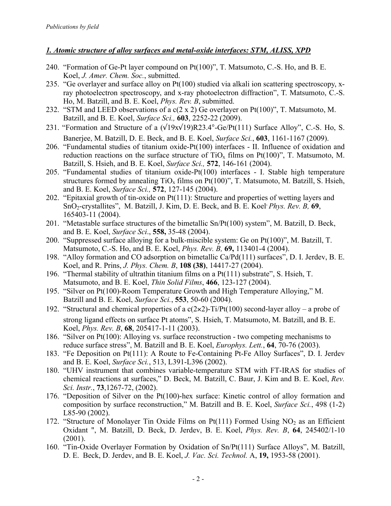### *1. Atomic structure of alloy surfaces and metal-oxide interfaces: STM, ALISS, XPD*

- 240. "Formation of Ge-Pt layer compound on Pt(100)", T. Matsumoto, C.-S. Ho, and B. E. Koel, *J. Amer. Chem. Soc.*, submitted.
- 235. "Ge overlayer and surface alloy on Pt(100) studied via alkali ion scattering spectroscopy, xray photoelectron spectroscopy, and x-ray photoelectron diffraction", T. Matsumoto, C.-S. Ho, M. Batzill, and B. E. Koel, *Phys. Rev. B*, submitted.
- 232. "STM and LEED observations of a  $c(2 \times 2)$  Ge overlayer on Pt(100)", T. Matsumoto, M. Batzill, and B. E. Koel, *Surface Sci.,* **603**, 2252-22 (2009).
- 231. "Formation and Structure of a  $(\sqrt{19}x\sqrt{19})R23.4^{\circ}$ -Ge/Pt(111) Surface Alloy", C.-S. Ho, S. Banerjee, M. Batzill, D. E. Beck, and B. E. Koel, *Surface Sci.*, **603**, 1161-1167 (2009).
- 206. "Fundamental studies of titanium oxide-Pt(100) interfaces II. Influence of oxidation and reduction reactions on the surface structure of  $TiO<sub>x</sub>$  films on Pt(100)", T. Matsumoto, M. Batzill, S. Hsieh, and B. E. Koel, *Surface Sci.,* **572**, 146-161 (2004).
- 205. "Fundamental studies of titanium oxide-Pt(100) interfaces I. Stable high temperature structures formed by annealing  $TiO_x$  films on Pt(100)", T. Matsumoto, M. Batzill, S. Hsieh, and B. E. Koel, *Surface Sci.,* **572**, 127-145 (2004).
- 202. "Epitaxial growth of tin-oxide on Pt(111): Structure and properties of wetting layers and SnO<sub>2</sub>-crystallites", M. Batzill, J. Kim, D. E. Beck, and B. E. Koel<sup>, *Phys. Rev. B*, **69**,</sup> 165403-11 (2004).
- 201. "Metastable surface structures of the bimetallic Sn/Pt(100) system", M. Batzill, D. Beck, and B. E. Koel, *Surface Sci*., **558,** 35-48 (2004).
- 200. "Suppressed surface alloying for a bulk-miscible system: Ge on Pt(100)", M. Batzill, T. Matsumoto, C.-S. Ho, and B. E. Koel, *Phys. Rev. B,* **69,** 113401-4 (2004).
- 198. "Alloy formation and CO adsorption on bimetallic Ca/Pd(111) surfaces", D. I. Jerdev, B. E. Koel, and R. Prins, *J. Phys. Chem. B*, **108 (38)**, 14417-27 (2004).
- 196. "Thermal stability of ultrathin titanium films on a Pt(111) substrate", S. Hsieh, T. Matsumoto, and B. E. Koel, *Thin Solid Films*, **466**, 123-127 (2004).
- 195. "Silver on Pt(100)-Room Temperature Growth and High Temperature Alloying," M. Batzill and B. E. Koel, *Surface Sci.*, **553**, 50-60 (2004).
- 192. "Structural and chemical properties of a  $c(2\times2)$ -Ti/Pt(100) second-layer alloy a probe of strong ligand effects on surface Pt atoms", S. Hsieh, T. Matsumoto, M. Batzill, and B. E. Koel, *Phys. Rev. B*, **68**, 205417-1-11 (2003).
- 186. "Silver on Pt(100): Alloying vs. surface reconstruction two competing mechanisms to reduce surface stress", M. Batzill and B. E. Koel, *Europhys. Lett.*, **64**, 70-76 (2003).
- 183. "Fe Deposition on Pt(111): A Route to Fe-Containing Pt-Fe Alloy Surfaces", D. I. Jerdev and B. E. Koel, *Surface Sci.*, 513, L391-L396 (2002).
- 180. "UHV instrument that combines variable-temperature STM with FT-IRAS for studies of chemical reactions at surfaces," D. Beck, M. Batzill, C. Baur, J. Kim and B. E. Koel, *Rev. Sci. Instr.*, **73**,1267-72, (2002).
- 176. "Deposition of Silver on the Pt(100)-hex surface: Kinetic control of alloy formation and composition by surface reconstruction," M. Batzill and B. E. Koel, *Surface Sci.*, 498 (1-2) L85-90 (2002).
- 172. "Structure of Monolayer Tin Oxide Films on Pt(111) Formed Using  $NO<sub>2</sub>$  as an Efficient Oxidant ", M. Batzill, D. Beck, D. Jerdev, B. E. Koel, *Phys. Rev. B*, **64**, 245402/1-10  $(2001)$ .
- 160. "Tin-Oxide Overlayer Formation by Oxidation of Sn/Pt(111) Surface Alloys", M. Batzill, D. E. Beck, D. Jerdev, and B. E. Koel, *J. Vac. Sci. Technol.* A, **19,** 1953-58 (2001).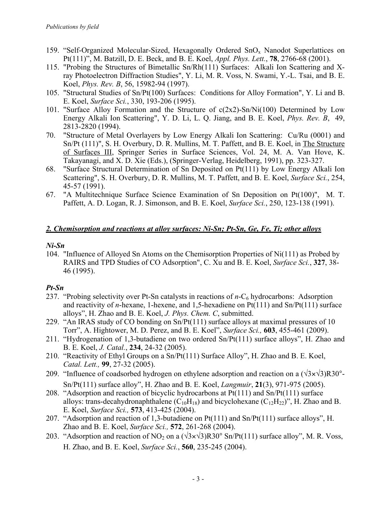- 159. "Self-Organized Molecular-Sized, Hexagonally Ordered  $SnO<sub>x</sub>$  Nanodot Superlattices on Pt(111)", M. Batzill, D. E. Beck, and B. E. Koel, *Appl. Phys. Lett.*, **78**, 2766-68 (2001).
- 115. "Probing the Structures of Bimetallic Sn/Rh(111) Surfaces: Alkali Ion Scattering and Xray Photoelectron Diffraction Studies", Y. Li, M. R. Voss, N. Swami, Y.-L. Tsai, and B. E. Koel, *Phys. Rev. B*, 56, 15982-94 (1997).
- 105. "Structural Studies of Sn/Pt(100) Surfaces: Conditions for Alloy Formation", Y. Li and B. E. Koel, *Surface Sci.*, 330, 193-206 (1995).
- 101. "Surface Alloy Formation and the Structure of c(2x2)-Sn/Ni(100) Determined by Low Energy Alkali Ion Scattering", Y. D. Li, L. Q. Jiang, and B. E. Koel, *Phys. Rev. B*, 49, 2813-2820 (1994).
- 70. "Structure of Metal Overlayers by Low Energy Alkali Ion Scattering: Cu/Ru (0001) and Sn/Pt (111)", S. H. Overbury, D. R. Mullins, M. T. Paffett, and B. E. Koel, in The Structure of Surfaces III, Springer Series in Surface Sciences, Vol. 24, M. A. Van Hove, K. Takayanagi, and X. D. Xie (Eds.), (Springer-Verlag, Heidelberg, 1991), pp. 323-327.
- 68. "Surface Structural Determination of Sn Deposited on Pt(111) by Low Energy Alkali Ion Scattering", S. H. Overbury, D. R. Mullins, M. T. Paffett, and B. E. Koel, *Surface Sci.*, 254, 45-57 (1991).
- 67. "A Multitechnique Surface Science Examination of Sn Deposition on Pt(100)", M. T. Paffett, A. D. Logan, R. J. Simonson, and B. E. Koel, *Surface Sci.*, 250, 123-138 (1991).

## *2. Chemisorption and reactions at alloy surfaces: Ni-Sn; Pt-Sn, Ge, Fe, Ti; other alloys*

## *Ni-Sn*

104. "Influence of Alloyed Sn Atoms on the Chemisorption Properties of Ni(111) as Probed by RAIRS and TPD Studies of CO Adsorption", C. Xu and B. E. Koel, *Surface Sci.*, **327**, 38- 46 (1995).

# *Pt-Sn*

- 237. "Probing selectivity over Pt-Sn catalysts in reactions of *n*-C<sub>6</sub> hydrocarbons: Adsorption and reactivity of *n*-hexane, 1-hexene, and 1,5-hexadiene on Pt(111) and Sn/Pt(111) surface alloys", H. Zhao and B. E. Koel, *J. Phys. Chem. C*, submitted.
- 229. "An IRAS study of CO bonding on Sn/Pt(111) surface alloys at maximal pressures of 10 Torr", A. Hightower, M. D. Perez, and B. E. Koel", *Surface Sci.,* **603**, 455-461 (2009).
- 211. "Hydrogenation of 1,3-butadiene on two ordered Sn/Pt(111) surface alloys", H. Zhao and B. E. Koel, *J. Catal.*, **234**, 24-32 (2005).
- 210. "Reactivity of Ethyl Groups on a Sn/Pt(111) Surface Alloy", H. Zhao and B. E. Koel, *Catal. Lett.,* **99**, 27-32 (2005).
- 209. "Influence of coadsorbed hydrogen on ethylene adsorption and reaction on a  $(\sqrt{3} \times \sqrt{3})R30^\circ$ -Sn/Pt(111) surface alloy", H. Zhao and B. E. Koel, *Langmuir*, **21**(3), 971-975 (2005).
- 208. "Adsorption and reaction of bicyclic hydrocarbons at Pt(111) and Sn/Pt(111) surface alloys: trans-decahydronaphthalene  $(C_{10}H_{18})$  and bicyclohexane  $(C_{12}H_{22})$ ", H. Zhao and B. E. Koel, *Surface Sci.,* **573**, 413-425 (2004).
- 207. "Adsorption and reaction of 1,3-butadiene on Pt(111) and Sn/Pt(111) surface alloys", H. Zhao and B. E. Koel, *Surface Sci.,* **572**, 261-268 (2004).
- 203. "Adsorption and reaction of NO<sub>2</sub> on a  $(\sqrt{3} \times \sqrt{3})R30^\circ$  Sn/Pt(111) surface alloy", M. R. Voss, H. Zhao, and B. E. Koel, *Surface Sci.*, **560**, 235-245 (2004).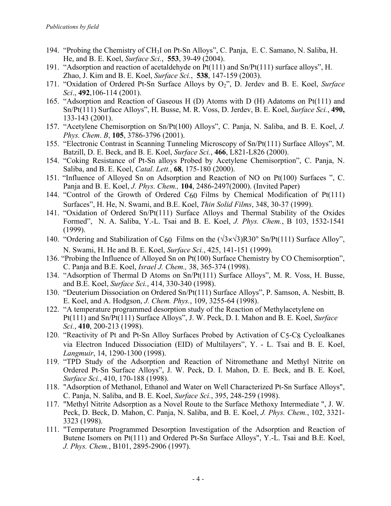- 194. "Probing the Chemistry of CH3I on Pt-Sn Alloys", C. Panja, E. C. Samano, N. Saliba, H. He, and B. E. Koel, *Surface Sci.*, **553**, 39-49 (2004).
- 191. "Adsorption and reaction of acetaldehyde on Pt(111) and Sn/Pt(111) surface alloys", H. Zhao, J. Kim and B. E. Koel, *Surface Sci.*, **538**, 147-159 (2003).
- 171. "Oxidation of Ordered Pt-Sn Surface Alloys by O2", D. Jerdev and B. E. Koel, *Surface Sci*., **492**,106-114 (2001).
- 165. "Adsorption and Reaction of Gaseous H (D) Atoms with D (H) Adatoms on Pt(111) and Sn/Pt(111) Surface Alloys", H. Busse, M. R. Voss, D. Jerdev, B. E. Koel, *Surface Sci.*, **490,**  133-143 (2001).
- 157. "Acetylene Chemisorption on Sn/Pt(100) Alloys", C. Panja, N. Saliba, and B. E. Koel, *J. Phys. Chem*. *B*, **105**, 3786-3796 (2001).
- 155. "Electronic Contrast in Scanning Tunneling Microscopy of Sn/Pt(111) Surface Alloys", M. Batzill, D. E. Beck, and B. E. Koel, *Surface Sci.*, **466**, L821-L826 (2000).
- 154. "Coking Resistance of Pt-Sn alloys Probed by Acetylene Chemisorption", C. Panja, N. Saliba, and B. E. Koel, *Catal. Lett.*, **68**, 175-180 (2000).
- 151. "Influence of Alloyed Sn on Adsorption and Reaction of NO on Pt(100) Surfaces ", C. Panja and B. E. Koel, *J. Phys. Chem.,* **104**, 2486-2497(2000). (Invited Paper)
- 144. "Control of the Growth of Ordered  $C_{60}$  Films by Chemical Modification of Pt(111) Surfaces", H. He, N. Swami, and B.E. Koel, *Thin Solid Films*, 348, 30-37 (1999).
- 141. "Oxidation of Ordered Sn/Pt(111) Surface Alloys and Thermal Stability of the Oxides Formed", N. A. Saliba, Y.-L. Tsai and B. E. Koel, *J. Phys. Chem.*, B 103, 1532-1541 (1999).
- 140. "Ordering and Stabilization of C<sub>60</sub> Films on the  $(\sqrt{3} \times \sqrt{3})R30^\circ$  Sn/Pt(111) Surface Alloy", N. Swami, H. He and B. E. Koel, *Surface Sci.*, 425, 141-151 (1999).
- 136. "Probing the Influence of Alloyed Sn on Pt(100) Surface Chemistry by CO Chemisorption", C. Panja and B.E. Koel, *Israel J. Chem.,* 38, 365-374 (1998).
- 134. "Adsorption of Thermal D Atoms on Sn/Pt(111) Surface Alloys", M. R. Voss, H. Busse, and B.E. Koel, *Surface Sci.*, 414, 330-340 (1998).
- 130. "Deuterium Dissociation on Ordered Sn/Pt(111) Surface Alloys", P. Samson, A. Nesbitt, B. E. Koel, and A. Hodgson, *J. Chem. Phys.*, 109, 3255-64 (1998).
- 122. "A temperature programmed desorption study of the Reaction of Methylacetylene on Pt(111) and Sn/Pt(111) Surface Alloys", J. W. Peck, D. I. Mahon and B. E. Koel, *Surface Sci.*, **410**, 200-213 (1998).
- 120. "Reactivity of Pt and Pt-Sn Alloy Surfaces Probed by Activation of C5-C8 Cycloalkanes via Electron Induced Dissociation (EID) of Multilayers", Y. - L. Tsai and B. E. Koel, *Langmuir*, 14, 1290-1300 (1998).
- 119. "TPD Study of the Adsorption and Reaction of Nitromethane and Methyl Nitrite on Ordered Pt-Sn Surface Alloys", J. W. Peck, D. I. Mahon, D. E. Beck, and B. E. Koel, *Surface Sci.*, 410, 170-188 (1998).
- 118. "Adsorption of Methanol, Ethanol and Water on Well Characterized Pt-Sn Surface Alloys", C. Panja, N. Saliba, and B. E. Koel, *Surface Sci.*, 395, 248-259 (1998).
- 117. "Methyl Nitrite Adsorption as a Novel Route to the Surface Methoxy Intermediate ", J. W. Peck, D. Beck, D. Mahon, C. Panja, N. Saliba, and B. E. Koel, *J. Phys. Chem.*, 102, 3321- 3323 (1998).
- 111. "Temperature Programmed Desorption Investigation of the Adsorption and Reaction of Butene Isomers on Pt(111) and Ordered Pt-Sn Surface Alloys", Y.-L. Tsai and B.E. Koel, *J. Phys. Chem.*, B101, 2895-2906 (1997).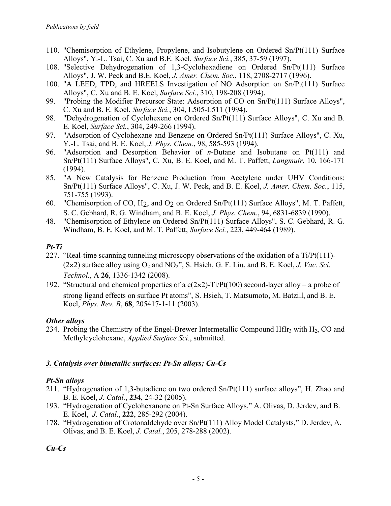- 110. "Chemisorption of Ethylene, Propylene, and Isobutylene on Ordered Sn/Pt(111) Surface Alloys", Y.-L. Tsai, C. Xu and B.E. Koel, *Surface Sci.*, 385, 37-59 (1997).
- 108. "Selective Dehydrogenation of 1,3-Cyclohexadiene on Ordered Sn/Pt(111) Surface Alloys", J. W. Peck and B.E. Koel, *J. Amer. Chem. Soc.*, 118, 2708-2717 (1996).
- 100. "A LEED, TPD, and HREELS Investigation of NO Adsorption on Sn/Pt(111) Surface Alloys", C. Xu and B. E. Koel, *Surface Sci.*, 310, 198-208 (1994).
- 99. "Probing the Modifier Precursor State: Adsorption of CO on Sn/Pt(111) Surface Alloys", C. Xu and B. E. Koel, *Surface Sci.*, 304, L505-L511 (1994).
- 98. "Dehydrogenation of Cyclohexene on Ordered Sn/Pt(111) Surface Alloys", C. Xu and B. E. Koel, *Surface Sci.*, 304, 249-266 (1994).
- 97. "Adsorption of Cyclohexane and Benzene on Ordered Sn/Pt(111) Surface Alloys", C. Xu, Y.-L. Tsai, and B. E. Koel, *J. Phys. Chem.*, 98, 585-593 (1994).
- 96. "Adsorption and Desorption Behavior of *n*-Butane and Isobutane on Pt(111) and Sn/Pt(111) Surface Alloys", C. Xu, B. E. Koel, and M. T. Paffett, *Langmuir*, 10, 166-171 (1994).
- 85. "A New Catalysis for Benzene Production from Acetylene under UHV Conditions: Sn/Pt(111) Surface Alloys", C. Xu, J. W. Peck, and B. E. Koel, *J. Amer. Chem. Soc.*, 115, 751-755 (1993).
- 60. "Chemisorption of CO, H2, and O2 on Ordered Sn/Pt(111) Surface Alloys", M. T. Paffett, S. C. Gebhard, R. G. Windham, and B. E. Koel, *J. Phys. Chem.*, 94, 6831-6839 (1990).
- 48. "Chemisorption of Ethylene on Ordered Sn/Pt(111) Surface Alloys", S. C. Gebhard, R. G. Windham, B. E. Koel, and M. T. Paffett, *Surface Sci.*, 223, 449-464 (1989).

## *Pt-Ti*

- 227. "Real-time scanning tunneling microscopy observations of the oxidation of a Ti/Pt(111)-  $(2 \times 2)$  surface alloy using  $O_2$  and  $NO_2$ ", S. Hsieh, G. F. Liu, and B. E. Koel, *J. Vac. Sci. Technol.*, A **26**, 1336-1342 (2008).
- 192. "Structural and chemical properties of a  $c(2\times2)$ -Ti/Pt(100) second-layer alloy a probe of strong ligand effects on surface Pt atoms", S. Hsieh, T. Matsumoto, M. Batzill, and B. E. Koel, *Phys. Rev. B*, **68**, 205417-1-11 (2003).

## *Other alloys*

234. Probing the Chemistry of the Engel-Brewer Intermetallic Compound HfIr<sub>3</sub> with H<sub>2</sub>, CO and Methylcyclohexane, *Applied Surface Sci.*, submitted.

## *3. Catalysis over bimetallic surfaces: Pt-Sn alloys; Cu-Cs*

## *Pt-Sn alloys*

- 211. "Hydrogenation of 1,3-butadiene on two ordered Sn/Pt(111) surface alloys", H. Zhao and B. E. Koel, *J. Catal.*, **234**, 24-32 (2005).
- 193. "Hydrogenation of Cyclohexanone on Pt-Sn Surface Alloys," A. Olivas, D. Jerdev, and B. E. Koel, *J. Catal*., **222**, 285-292 (2004).
- 178. "Hydrogenation of Crotonaldehyde over Sn/Pt(111) Alloy Model Catalysts," D. Jerdev, A. Olivas, and B. E. Koel, *J. Catal.*, 205, 278-288 (2002).

*Cu-Cs*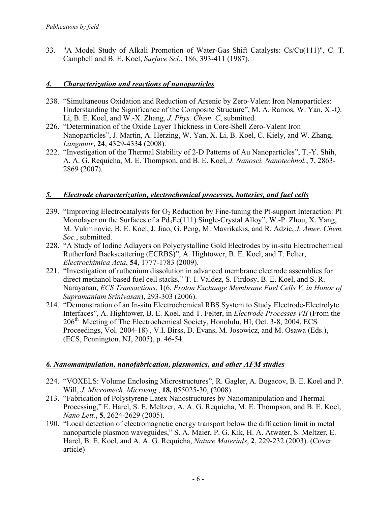33. "A Model Study of Alkali Promotion of Water-Gas Shift Catalysts: Cs/Cu(111)", C. T. Campbell and B. E. Koel, *Surface Sci.*, 186, 393-411 (1987).

### *4. Characterization and reactions of nanoparticles*

- 238. "Simultaneous Oxidation and Reduction of Arsenic by Zero-Valent Iron Nanoparticles: Understanding the Significance of the Composite Structure", M. A. Ramos, W. Yan, X.-Q. Li, B. E. Koel, and W.-X. Zhang, *J. Phys. Chem. C*, submitted.
- 226. "Determination of the Oxide Layer Thickness in Core-Shell Zero-Valent Iron Nanoparticles", J. Martin, A. Herzing, W. Yan, X. Li, B. Koel, C. Kiely, and W. Zhang, *Langmuir*, **24**, 4329-4334 (2008).
- 222. "Investigation of the Thermal Stability of 2-D Patterns of Au Nanoparticles", T.-Y. Shih, A. A. G. Requicha, M. E. Thompson, and B. E. Koel, *J. Nanosci. Nanotechnol.*, **7**, 2863- 2869 (2007).

#### *5. Electrode characterization, electrochemical processes, batteries, and fuel cells*

- 239. "Improving Electrocatalysts for  $O_2$  Reduction by Fine-tuning the Pt-support Interaction: Pt Monolayer on the Surfaces of a Pd<sub>3</sub>Fe(111) Single-Crystal Alloy", W.-P. Zhou, X. Yang, M. Vukmirovic, B. E. Koel, J. Jiao, G. Peng, M. Mavrikakis, and R. Adzic, *J. Amer. Chem. Soc.*, submitted.
- 228. "A Study of Iodine Adlayers on Polycrystalline Gold Electrodes by in-situ Electrochemical Rutherford Backscattering (ECRBS)", A. Hightower, B. E. Koel, and T. Felter, *Electrochimica Acta*, **54**, 1777-1783 (2009).
- 221. "Investigation of ruthenium dissolution in advanced membrane electrode assemblies for direct methanol based fuel cell stacks," T. I. Valdez, S. Firdosy, B. E. Koel, and S. R. Narayanan, *ECS Transactions*, **1**(6, *Proton Exchange Membrane Fuel Cells V, in Honor of Supramaniam Srinivasan*), 293-303 (2006).
- 214. "Demonstration of an In-situ Electrochemical RBS System to Study Electrode-Electrolyte Interfaces", A. Hightower, B. E. Koel, and T. Felter, in *Electrode Processes VII* (From the 206th Meeting of The Electrochemical Society, Honolulu, HI, Oct. 3-8, 2004, ECS Proceedings, Vol. 2004-18) , V.I. Birss, D. Evans, M. Josowicz, and M. Osawa (Eds.), (ECS, Pennington, NJ, 2005), p. 46-54.

#### *6. Nanomanipulation, nanofabrication, plasmonics, and other AFM studies*

- 224. "VOXELS: Volume Enclosing Microstructures", R. Gagler, A. Bugacov, B. E. Koel and P. Will, *J. Micromech. Microeng.*, **18,** 055025-30, (2008).
- 213. "Fabrication of Polystyrene Latex Nanostructures by Nanomanipulation and Thermal Processing," E. Harel, S. E. Meltzer, A. A. G. Requicha, M. E. Thompson, and B. E. Koel, *Nano Lett.*, **5**, 2624-2629 (2005).
- 190. "Local detection of electromagnetic energy transport below the diffraction limit in metal nanoparticle plasmon waveguides," S. A. Maier, P. G. Kik, H. A. Atwater, S. Meltzer, E. Harel, B. E. Koel, and A. A. G. Requicha, *Nature Materials*, **2**, 229-232 (2003). (Cover article)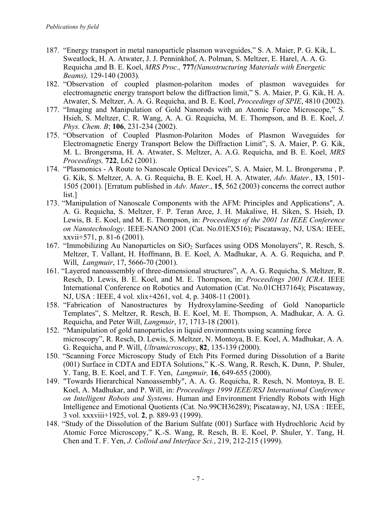- 187. "Energy transport in metal nanoparticle plasmon waveguides," S. A. Maier, P. G. Kik, L. Sweatlock, H. A. Atwater, J. J. Penninkhof, A. Polman, S. Meltzer, E. Harel, A. A. G. Requicha ,and B. E. Koel, *MRS Proc.,* **777***(Nanostructuring Materials with Energetic Beams),* 129-140 (2003)*.*
- 182. "Observation of coupled plasmon-polariton modes of plasmon waveguides for electromagnetic energy transport below the diffraction limit," S. A. Maier, P. G. Kik, H. A. Atwater, S. Meltzer, A. A. G. Requicha, and B. E. Koel, *Proceedings of SPIE*, 4810 (2002).
- 177. "Imaging and Manipulation of Gold Nanorods with an Atomic Force Microscope," S. Hsieh, S. Meltzer, C. R. Wang, A. A. G. Requicha, M. E. Thompson, and B. E. Koel, *J. Phys. Chem. B*; **106**, 231-234 (2002).
- 175. "Observation of Coupled Plasmon-Polariton Modes of Plasmon Waveguides for Electromagnetic Energy Transport Below the Diffraction Limit", S. A. Maier, P. G. Kik, M. L. Brongersma, H. A. Atwater, S. Meltzer, A. A.G. Requicha, and B. E. Koel, *MRS Proceedings,* **722**, L62 (2001).
- 174. "Plasmonics A Route to Nanoscale Optical Devices", S. A. Maier, M. L. Brongersma , P. G. Kik, S. Meltzer, A. A. G. Requicha, B. E. Koel, H. A. Atwater, *Adv. Mater.*, **13**, 1501- 1505 (2001). [Erratum published in *Adv. Mater.*, **15**, 562 (2003) concerns the correct author list.]
- 173. "Manipulation of Nanoscale Components with the AFM: Principles and Applications", A. A. G. Requicha, S. Meltzer, F. P. Teran Arce, J. H. Makaliwe, H. Siken, S. Hsieh, D. Lewis, B. E. Koel, and M. E. Thompson, in: *Proceedings of the 2001 1st IEEE Conference on Nanotechnology*. IEEE-NANO 2001 (Cat. No.01EX516); Piscataway, NJ, USA: IEEE, xxvii+571, p. 81-6 (2001).
- 167. "Immobilizing Au Nanoparticles on SiO<sub>2</sub> Surfaces using ODS Monolayers", R. Resch, S. Meltzer, T. Vallant, H. Hoffmann, B. E. Koel, A. Madhukar, A. A. G. Requicha, and P. Will, *Langmuir*, 17, 5666-70 (2001).
- 161. "Layered nanoassembly of three-dimensional structures", A. A. G. Requicha, S. Meltzer, R. Resch, D. Lewis, B. E. Koel, and M. E. Thompson, in: *Proceedings 2001 ICRA*. IEEE International Conference on Robotics and Automation (Cat. No.01CH37164); Piscataway, NJ, USA : IEEE, 4 vol. xlix+4261, vol. 4, p. 3408-11 (2001).
- 158. "Fabrication of Nanostructures by Hydroxylamine-Seeding of Gold Nanoparticle Templates", S. Meltzer, R. Resch, B. E. Koel, M. E. Thompson, A. Madhukar, A. A. G. Requicha, and Peter Will, *Langmuir*, 17, 1713-18 (2001).
- 152. "Manipulation of gold nanoparticles in liquid environments using scanning force microscopy", R. Resch, D. Lewis, S. Meltzer, N. Montoya, B. E. Koel, A. Madhukar, A. A. G. Requicha, and P. Will, *Ultramicroscopy*, **82**, 135-139 (2000).
- 150. "Scanning Force Microscopy Study of Etch Pits Formed during Dissolution of a Barite (001) Surface in CDTA and EDTA Solutions," K.-S. Wang, R. Resch, K. Dunn, P. Shuler, Y. Tang, B. E. Koel, and T. F. Yen, *Langmuir,* **16**, 649-655 (2000).
- 149. "Towards Hierarchical Nanoassembly", A. A. G. Requicha, R. Resch, N. Montoya, B. E. Koel, A. Madhukar, and P. Will, in: *Proceedings 1999 IEEE/RSJ International Conference on Intelligent Robots and Systems*. Human and Environment Friendly Robots with High Intelligence and Emotional Quotients (Cat. No.99CH36289); Piscataway, NJ, USA : IEEE, 3 vol. xxxviii+1925, vol. **2**, p. 889-93 (1999).
- 148. "Study of the Dissolution of the Barium Sulfate (001) Surface with Hydrochloric Acid by Atomic Force Microscopy," K.-S. Wang, R. Resch, B. E. Koel, P. Shuler, Y. Tang, H. Chen and T. F. Yen, *J. Colloid and Interface Sci.*, 219, 212-215 (1999).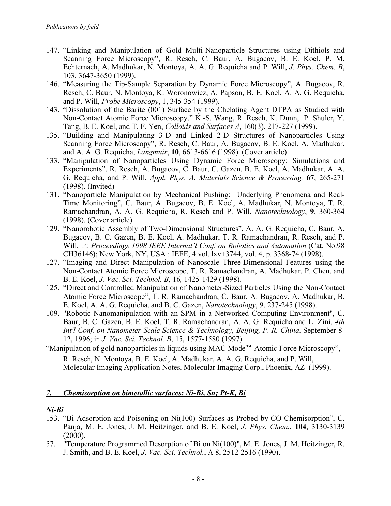- 147. "Linking and Manipulation of Gold Multi-Nanoparticle Structures using Dithiols and Scanning Force Microscopy", R. Resch, C. Baur, A. Bugacov, B. E. Koel, P. M. Echternach, A. Madhukar, N. Montoya, A. A. G. Requicha and P. Will, *J. Phys. Chem. B*, 103, 3647-3650 (1999).
- 146. "Measuring the Tip-Sample Separation by Dynamic Force Microscopy", A. Bugacov, R. Resch, C. Baur, N. Montoya, K. Woronowicz, A. Papson, B. E. Koel, A. A. G. Requicha, and P. Will, *Probe Microscopy*, 1, 345-354 (1999).
- 143. "Dissolution of the Barite (001) Surface by the Chelating Agent DTPA as Studied with Non-Contact Atomic Force Microscopy," K.-S. Wang, R. Resch, K. Dunn, P. Shuler, Y. Tang, B. E. Koel, and T. F. Yen, *Colloids and Surfaces A*, 160(3), 217-227 (1999).
- 135. "Building and Manipulating 3-D and Linked 2-D Structures of Nanoparticles Using Scanning Force Microscopy", R. Resch, C. Baur, A. Bugacov, B. E. Koel, A. Madhukar, and A. A. G. Requicha, *Langmuir*, **10**, 6613-6616 (1998). (Cover article)
- 133. "Manipulation of Nanoparticles Using Dynamic Force Microscopy: Simulations and Experiments", R. Resch, A. Bugacov, C. Baur, C. Gazen, B. E. Koel, A. Madhukar, A. A. G. Requicha, and P. Will, *Appl. Phys. A*, *Materials Science & Processing,* **67**, 265-271 (1998). (Invited)
- 131. "Nanoparticle Manipulation by Mechanical Pushing: Underlying Phenomena and Real-Time Monitoring", C. Baur, A. Bugacov, B. E. Koel, A. Madhukar, N. Montoya, T. R. Ramachandran, A. A. G. Requicha, R. Resch and P. Will, *Nanotechnology*, **9**, 360-364 (1998). (Cover article)
- 129. "Nanorobotic Assembly of Two-Dimensional Structures", A. A. G. Requicha, C. Baur, A. Bugacov, B. C. Gazen, B. E. Koel, A. Madhukar, T. R. Ramachandran, R. Resch, and P. Will, in: *Proceedings 1998 IEEE Internat'l Conf. on Robotics and Automation* (Cat. No.98 CH36146); New York, NY, USA : IEEE, 4 vol. lxv+3744, vol. 4, p. 3368-74 (1998).
- 127. "Imaging and Direct Manipulation of Nanoscale Three-Dimensional Features using the Non-Contact Atomic Force Microscope, T. R. Ramachandran, A. Madhukar, P. Chen, and B. E. Koel, *J. Vac. Sci. Technol. B*, 16*,* 1425-1429 (1998)*.*
- 125. "Direct and Controlled Manipulation of Nanometer-Sized Particles Using the Non-Contact Atomic Force Microscope", T. R. Ramachandran, C. Baur, A. Bugacov, A. Madhukar, B. E. Koel, A. A. G. Requicha, and B. C. Gazen, *Nanotechnology*, 9, 237-245 (1998).
- 109. "Robotic Nanomanipulation with an SPM in a Networked Computing Environment", C. Baur, B. C. Gazen, B. E. Koel, T. R. Ramachandran, A. A. G. Requicha and L. Zini, *4th Int'l Conf. on Nanometer-Scale Science & Technology, Beijing, P. R. China*, September 8- 12, 1996; in *J. Vac. Sci. Technol. B*, 15, 1577-1580 (1997).
- "Manipulation of gold nanoparticles in liquids using MAC Mode<sup> $M$ </sup> Atomic Force Microscopy", R. Resch, N. Montoya, B. E. Koel, A. Madhukar, A. A. G. Requicha, and P. Will, Molecular Imaging Application Notes, Molecular Imaging Corp., Phoenix, AZ (1999).

### *7. Chemisorption on bimetallic surfaces: Ni-Bi, Sn; Pt-K, Bi*

### *Ni-Bi*

- 153. "Bi Adsorption and Poisoning on Ni(100) Surfaces as Probed by CO Chemisorption", C. Panja, M. E. Jones, J. M. Heitzinger, and B. E. Koel, *J. Phys. Chem.*, **104**, 3130-3139  $(2000).$
- 57. "Temperature Programmed Desorption of Bi on Ni(100)", M. E. Jones, J. M. Heitzinger, R. J. Smith, and B. E. Koel, *J. Vac. Sci. Technol.*, A 8, 2512-2516 (1990).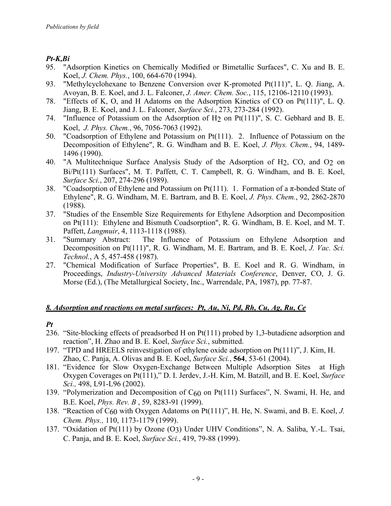## *Pt-K,Bi*

- 95. "Adsorption Kinetics on Chemically Modified or Bimetallic Surfaces", C. Xu and B. E. Koel, *J. Chem. Phys.*, 100, 664-670 (1994).
- 93. "Methylcyclohexane to Benzene Conversion over K-promoted Pt(111)", L. Q. Jiang, A. Avoyan, B. E. Koel, and J. L. Falconer, *J. Amer. Chem. Soc.*, 115, 12106-12110 (1993).
- 78. "Effects of K, O, and H Adatoms on the Adsorption Kinetics of CO on Pt(111)", L. Q. Jiang, B. E. Koel, and J. L. Falconer, *Surface Sci.*, 273, 273-284 (1992).
- 74. "Influence of Potassium on the Adsorption of H2 on Pt(111)", S. C. Gebhard and B. E. Koel, *J. Phys. Chem.*, 96, 7056-7063 (1992).
- 50. "Coadsorption of Ethylene and Potassium on Pt(111). 2. Influence of Potassium on the Decomposition of Ethylene", R. G. Windham and B. E. Koel, *J. Phys. Chem.*, 94, 1489- 1496 (1990).
- 40. "A Multitechnique Surface Analysis Study of the Adsorption of H2, CO, and O2 on Bi/Pt(111) Surfaces", M. T. Paffett, C. T. Campbell, R. G. Windham, and B. E. Koel, *Surface Sci.*, 207, 274-296 (1989).
- 38. "Coadsorption of Ethylene and Potassium on Pt(111). 1. Formation of a  $\pi$ -bonded State of Ethylene", R. G. Windham, M. E. Bartram, and B. E. Koel, *J. Phys. Chem.*, 92, 2862-2870 (1988).
- 37. "Studies of the Ensemble Size Requirements for Ethylene Adsorption and Decomposition on Pt(111): Ethylene and Bismuth Coadsorption", R. G. Windham, B. E. Koel, and M. T. Paffett, *Langmuir*, 4, 1113-1118 (1988).
- 31. "Summary Abstract: The Influence of Potassium on Ethylene Adsorption and Decomposition on Pt(111)", R. G. Windham, M. E. Bartram, and B. E. Koel, *J. Vac. Sci. Technol.*, A 5, 457-458 (1987).
- 27. "Chemical Modification of Surface Properties", B. E. Koel and R. G. Windham, in Proceedings, *Industry-University Advanced Materials Conference*, Denver, CO, J. G. Morse (Ed.), (The Metallurgical Society, Inc., Warrendale, PA, 1987), pp. 77-87.

## *8. Adsorption and reactions on metal surfaces: Pt, Au, Ni, Pd, Rh, Cu, Ag, Ru, Ce*

## *Pt*

- 236. "Site-blocking effects of preadsorbed H on Pt(111) probed by 1,3-butadiene adsorption and reaction", H. Zhao and B. E. Koel, *Surface Sci.*, submitted.
- 197. "TPD and HREELS reinvestigation of ethylene oxide adsorption on Pt(111)", J. Kim, H. Zhao, C. Panja, A. Olivas and B. E. Koel, *Surface Sci.*, **564**, 53-61 (2004).
- 181. "Evidence for Slow Oxygen-Exchange Between Multiple Adsorption Sites at High Oxygen Coverages on Pt(111)," D. I. Jerdev, J.-H. Kim, M. Batzill, and B. E. Koel, *Surface Sci.,* 498, L91-L96 (2002).
- 139. "Polymerization and Decomposition of C60 on Pt(111) Surfaces", N. Swami, H. He, and B.E. Koel, *Phys. Rev. B* , 59, 8283-91 (1999).
- 138. "Reaction of C60 with Oxygen Adatoms on Pt(111)", H. He, N. Swami, and B. E. Koel, *J. Chem. Phys.,* 110, 1173-1179 (1999).
- 137. "Oxidation of Pt(111) by Ozone (O3) Under UHV Conditions", N. A. Saliba, Y.-L. Tsai, C. Panja, and B. E. Koel, *Surface Sci.*, 419, 79-88 (1999).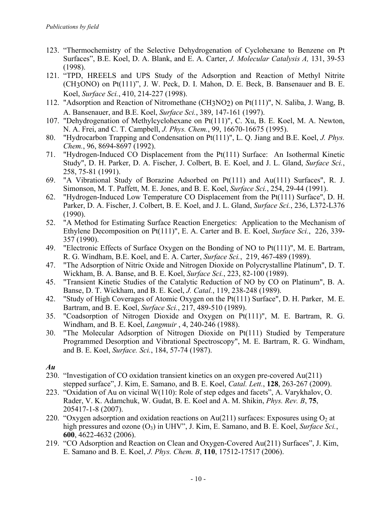- 123. "Thermochemistry of the Selective Dehydrogenation of Cyclohexane to Benzene on Pt Surfaces", B.E. Koel, D. A. Blank, and E. A. Carter, *J. Molecular Catalysis A,* 131, 39-53 (1998).
- 121. "TPD, HREELS and UPS Study of the Adsorption and Reaction of Methyl Nitrite (CH3ONO) on Pt(111)", J. W. Peck, D. I. Mahon, D. E. Beck, B. Bansenauer and B. E. Koel, *Surface Sci.*, 410, 214-227 (1998).
- 112. "Adsorption and Reaction of Nitromethane (CH3NO2) on Pt(111)", N. Saliba, J. Wang, B. A. Bansenauer, and B.E. Koel, *Surface Sci.*, 389, 147-161 (1997).
- 107. "Dehydrogenation of Methylcyclohexane on Pt(111)", C. Xu, B. E. Koel, M. A. Newton, N. A. Frei, and C. T. Campbell, *J. Phys. Chem.*, 99, 16670-16675 (1995).
- 80. "Hydrocarbon Trapping and Condensation on Pt(111)", L. Q. Jiang and B.E. Koel, *J. Phys. Chem.*, 96, 8694-8697 (1992).
- 71. "Hydrogen-Induced CO Displacement from the Pt(111) Surface: An Isothermal Kinetic Study", D. H. Parker, D. A. Fischer, J. Colbert, B. E. Koel, and J. L. Gland, *Surface Sci.*, 258, 75-81 (1991).
- 69. "A Vibrational Study of Borazine Adsorbed on Pt(111) and Au(111) Surfaces", R. J. Simonson, M. T. Paffett, M. E. Jones, and B. E. Koel, *Surface Sci.*, 254, 29-44 (1991).
- 62. "Hydrogen-Induced Low Temperature CO Displacement from the Pt(111) Surface", D. H. Parker, D. A. Fischer, J. Colbert, B. E. Koel, and J. L. Gland, *Surface Sci.*, 236, L372-L376 (1990).
- 52. "A Method for Estimating Surface Reaction Energetics: Application to the Mechanism of Ethylene Decomposition on Pt(111)", E. A. Carter and B. E. Koel, *Surface Sci.*, 226, 339- 357 (1990).
- 49. "Electronic Effects of Surface Oxygen on the Bonding of NO to Pt(111)", M. E. Bartram, R. G. Windham, B.E. Koel, and E. A. Carter, *Surface Sci.*, 219, 467-489 (1989).
- 47. "The Adsorption of Nitric Oxide and Nitrogen Dioxide on Polycrystalline Platinum", D. T. Wickham, B. A. Banse, and B. E. Koel, *Surface Sci.*, 223, 82-100 (1989).
- 45. "Transient Kinetic Studies of the Catalytic Reduction of NO by CO on Platinum", B. A. Banse, D. T. Wickham, and B. E. Koel, *J. Catal.*, 119, 238-248 (1989).
- 42. "Study of High Coverages of Atomic Oxygen on the Pt(111) Surface", D. H. Parker, M. E. Bartram, and B. E. Koel, *Surface Sci.*, 217, 489-510 (1989).
- 35. "Coadsorption of Nitrogen Dioxide and Oxygen on Pt(111)", M. E. Bartram, R. G. Windham, and B. E. Koel, *Langmuir* , 4, 240-246 (1988).
- 30. "The Molecular Adsorption of Nitrogen Dioxide on Pt(111) Studied by Temperature Programmed Desorption and Vibrational Spectroscopy", M. E. Bartram, R. G. Windham, and B. E. Koel, *Surface. Sci.*, 184, 57-74 (1987).

*Au*

- 230. "Investigation of CO oxidation transient kinetics on an oxygen pre-covered Au(211) stepped surface", J. Kim, E. Samano, and B. E. Koel, *Catal. Lett.*, **128**, 263-267 (2009).
- 223. "Oxidation of Au on vicinal W(110): Role of step edges and facets", A. Varykhalov, O. Rader, V. K. Adamchuk, W. Gudat, B. E. Koel and A. M. Shikin, *Phys. Rev. B*, **75**, 205417-1-8 (2007).
- 220. "Oxygen adsorption and oxidation reactions on Au(211) surfaces: Exposures using  $O<sub>2</sub>$  at high pressures and ozone  $(O_3)$  in UHV", J. Kim, E. Samano, and B. E. Koel, *Surface Sci.*, **600**, 4622-4632 (2006).
- 219. "CO Adsorption and Reaction on Clean and Oxygen-Covered Au(211) Surfaces", J. Kim, E. Samano and B. E. Koel, *J. Phys. Chem. B*, **110**, 17512-17517 (2006).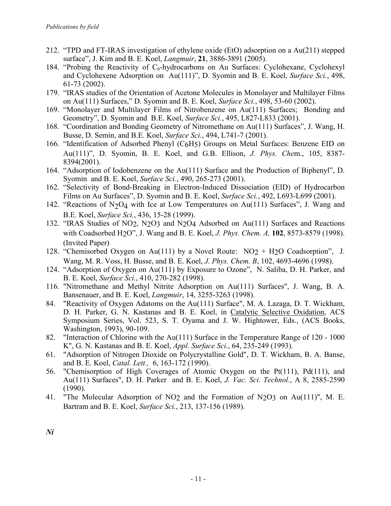- 212. "TPD and FT-IRAS investigation of ethylene oxide (EtO) adsorption on a Au(211) stepped surface", J. Kim and B. E. Koel, *Langmuir*, **21**, 3886-3891 (2005).
- 184. "Probing the Reactivity of  $C_6$ -hydrocarbons on Au Surfaces: Cyclohexane, Cyclohexyl and Cyclohexene Adsorption on Au(111)", D. Syomin and B. E. Koel, *Surface Sci.*, 498, 61-73 (2002).
- 179. "IRAS studies of the Orientation of Acetone Molecules in Monolayer and Multilayer Films on Au(111) Surfaces," D. Syomin and B. E. Koel, *Surface Sci.*, 498, 53-60 (2002).
- 169. "Monolayer and Multilayer Films of Nitrobenzene on Au(111) Surfaces; Bonding and Geometry", D. Syomin and B.E. Koel, *Surface Sci.*, 495, L827-L833 (2001).
- 168. "Coordination and Bonding Geometry of Nitromethane on Au(111) Surfaces", J. Wang, H. Busse, D. Semin, and B.E. Koel, *Surface Sci.*, 494, L741-7 (2001).
- 166. "Identification of Adsorbed Phenyl (C6H5) Groups on Metal Surfaces: Benzene EID on Au(111)", D. Syomin, B. E. Koel, and G.B. Ellison, *J. Phys. Che*m., 105, 8387- 8394(2001).
- 164. "Adsorption of Iodobenzene on the Au(111) Surface and the Production of Biphenyl", D. Syomin and B. E. Koel, *Surface Sci.*, 490, 265-273 (2001).
- 162. "Selectivity of Bond-Breaking in Electron-Induced Dissociation (EID) of Hydrocarbon Films on Au Surfaces", D. Syomin and B. E. Koel, *Surface Sci.*, 492, L693-L699 (2001).
- 142. "Reactions of  $N_2O_4$  with Ice at Low Temperatures on Au(111) Surfaces", J. Wang and B.E. Koel, *Surface Sci.*, 436, 15-28 (1999).
- 132. "IRAS Studies of NO2, N2O3 and N2O4 Adsorbed on Au(111) Surfaces and Reactions with Coadsorbed H2O", J. Wang and B. E. Koel, *J. Phys. Chem. A,* **102**, 8573-8579 (1998). (Invited Paper)
- 128. "Chemisorbed Oxygen on Au(111) by a Novel Route:  $NO<sub>2</sub> + H<sub>2</sub>O$  Coadsorption", J. Wang, M. R. Voss, H. Busse, and B. E. Koel, *J. Phys. Chem. B*, 102, 4693-4696 (1998).
- 124. "Adsorption of Oxygen on Au(111) by Exposure to Ozone", N. Saliba, D. H. Parker, and B. E. Koel, *Surface Sci.*, 410, 270-282 (1998).
- 116. "Nitromethane and Methyl Nitrite Adsorption on Au(111) Surfaces", J. Wang, B. A. Bansenauer, and B. E. Koel, *Langmuir*, 14, 3255-3263 (1998).
- 84. "Reactivity of Oxygen Adatoms on the Au(111) Surface", M. A. Lazaga, D. T. Wickham, D. H. Parker, G. N. Kastanas and B. E. Koel, in Catalytic Selective Oxidation, ACS Symposium Series, Vol. 523, S. T. Oyama and J. W. Hightower, Eds., (ACS Books, Washington, 1993), 90-109.
- 82. "Interaction of Chlorine with the Au(111) Surface in the Temperature Range of 120 1000 K", G. N. Kastanas and B. E. Koel, *Appl. Surface Sci.*, 64, 235-249 (1993).
- 61. "Adsorption of Nitrogen Dioxide on Polycrystalline Gold", D. T. Wickham, B. A. Banse, and B. E. Koel, *Catal. Lett.,* 6, 163-172 (1990).
- 56. "Chemisorption of High Coverages of Atomic Oxygen on the Pt(111), Pd(111), and Au(111) Surfaces", D. H. Parker and B. E. Koel, *J. Vac. Sci. Technol.*, A 8, 2585-2590 (1990).
- 41. "The Molecular Adsorption of NO2 and the Formation of N2O3 on Au(111)", M. E. Bartram and B. E. Koel, *Surface Sci.*, 213, 137-156 (1989).

*Ni*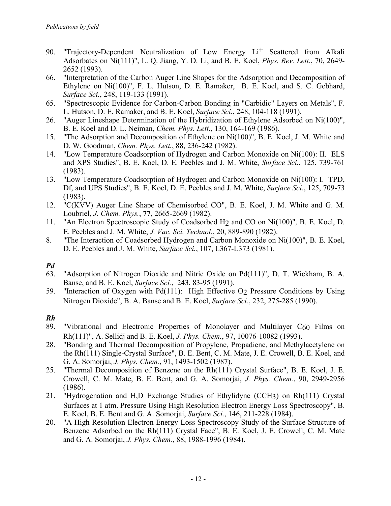- 90. "Trajectory-Dependent Neutralization of Low Energy Li<sup>+</sup> Scattered from Alkali Adsorbates on Ni(111)", L. Q. Jiang, Y. D. Li, and B. E. Koel, *Phys. Rev. Lett.*, 70, 2649- 2652 (1993).
- 66. "Interpretation of the Carbon Auger Line Shapes for the Adsorption and Decomposition of Ethylene on Ni(100)", F. L. Hutson, D. E. Ramaker, B. E. Koel, and S. C. Gebhard, *Surface Sci.*, 248, 119-133 (1991).
- 65. "Spectroscopic Evidence for Carbon-Carbon Bonding in "Carbidic" Layers on Metals", F. L. Hutson, D. E. Ramaker, and B. E. Koel, *Surface Sci.*, 248, 104-118 (1991).
- 26. "Auger Lineshape Determination of the Hybridization of Ethylene Adsorbed on Ni(100)", B. E. Koel and D. L. Neiman, *Chem. Phys. Lett.*, 130, 164-169 (1986).
- 15. "The Adsorption and Decomposition of Ethylene on Ni(100)", B. E. Koel, J. M. White and D. W. Goodman, *Chem. Phys. Lett.*, 88, 236-242 (1982).
- 14. "Low Temperature Coadsorption of Hydrogen and Carbon Monoxide on Ni(100): II. ELS and XPS Studies", B. E. Koel, D. E. Peebles and J. M. White, *Surface Sci.*, 125, 739-761 (1983).
- 13. "Low Temperature Coadsorption of Hydrogen and Carbon Monoxide on Ni(100): I. TPD, Df, and UPS Studies", B. E. Koel, D. E. Peebles and J. M. White, *Surface Sci.*, 125, 709-73 (1983).
- 12. "C(KVV) Auger Line Shape of Chemisorbed CO", B. E. Koel, J. M. White and G. M. Loubriel, *J. Chem. Phys.*, **77**, 2665-2669 (1982).
- 11. "An Electron Spectroscopic Study of Coadsorbed H2 and CO on Ni(100)", B. E. Koel, D. E. Peebles and J. M. White, *J. Vac. Sci. Technol.*, 20, 889-890 (1982).
- 8. "The Interaction of Coadsorbed Hydrogen and Carbon Monoxide on Ni(100)", B. E. Koel, D. E. Peebles and J. M. White, *Surface Sci.*, 107, L367-L373 (1981).

## *Pd*

- 63. "Adsorption of Nitrogen Dioxide and Nitric Oxide on Pd(111)", D. T. Wickham, B. A. Banse, and B. E. Koel, *Surface Sci.*, 243, 83-95 (1991).
- 59. "Interaction of Oxygen with Pd(111): High Effective O2 Pressure Conditions by Using Nitrogen Dioxide", B. A. Banse and B. E. Koel, *Surface Sci.*, 232, 275-285 (1990).

## *Rh*

- 89. "Vibrational and Electronic Properties of Monolayer and Multilayer C60 Films on Rh(111)", A. Sellidj and B. E. Koel, *J. Phys. Chem.*, 97, 10076-10082 (1993).
- 28. "Bonding and Thermal Decomposition of Propylene, Propadiene, and Methylacetylene on the Rh(111) Single-Crystal Surface", B. E. Bent, C. M. Mate, J. E. Crowell, B. E. Koel, and G. A. Somorjai, *J. Phys. Chem.*, 91, 1493-1502 (1987).
- 25. "Thermal Decomposition of Benzene on the Rh(111) Crystal Surface", B. E. Koel, J. E. Crowell, C. M. Mate, B. E. Bent, and G. A. Somorjai, *J. Phys. Chem.*, 90, 2949-2956 (1986).
- 21. "Hydrogenation and H,D Exchange Studies of Ethylidyne (CCH3) on Rh(111) Crystal Surfaces at 1 atm. Pressure Using High Resolution Electron Energy Loss Spectroscopy", B. E. Koel, B. E. Bent and G. A. Somorjai, *Surface Sci.*, 146, 211-228 (1984).
- 20. "A High Resolution Electron Energy Loss Spectroscopy Study of the Surface Structure of Benzene Adsorbed on the Rh(111) Crystal Face", B. E. Koel, J. E. Crowell, C. M. Mate and G. A. Somorjai, *J. Phys. Chem.*, 88, 1988-1996 (1984).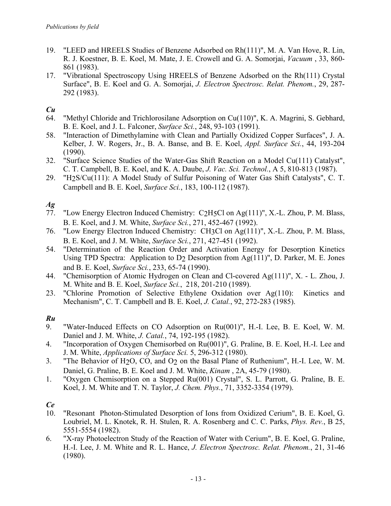- 19. "LEED and HREELS Studies of Benzene Adsorbed on Rh(111)", M. A. Van Hove, R. Lin, R. J. Koestner, B. E. Koel, M. Mate, J. E. Crowell and G. A. Somorjai, *Vacuum* , 33, 860- 861 (1983).
- 17. "Vibrational Spectroscopy Using HREELS of Benzene Adsorbed on the Rh(111) Crystal Surface", B. E. Koel and G. A. Somorjai, *J. Electron Spectrosc. Relat. Phenom.*, 29, 287- 292 (1983).

# *Cu*

- 64. "Methyl Chloride and Trichlorosilane Adsorption on Cu(110)", K. A. Magrini, S. Gebhard, B. E. Koel, and J. L. Falconer, *Surface Sci.*, 248, 93-103 (1991).
- 58. "Interaction of Dimethylamine with Clean and Partially Oxidized Copper Surfaces", J. A. Kelber, J. W. Rogers, Jr., B. A. Banse, and B. E. Koel, *Appl. Surface Sci.*, 44, 193-204 (1990).
- 32. "Surface Science Studies of the Water-Gas Shift Reaction on a Model Cu(111) Catalyst", C. T. Campbell, B. E. Koel, and K. A. Daube, *J. Vac. Sci. Technol.*, A 5, 810-813 (1987).
- 29. "H2S/Cu(111): A Model Study of Sulfur Poisoning of Water Gas Shift Catalysts", C. T. Campbell and B. E. Koel, *Surface Sci.*, 183, 100-112 (1987).

# *Ag*

- 77. "Low Energy Electron Induced Chemistry: C2H5Cl on Ag(111)", X.-L. Zhou, P. M. Blass, B. E. Koel, and J. M. White, *Surface Sci.*, 271, 452-467 (1992).
- 76. "Low Energy Electron Induced Chemistry: CH3Cl on Ag(111)", X.-L. Zhou, P. M. Blass, B. E. Koel, and J. M. White, *Surface Sci.*, 271, 427-451 (1992).
- 54. "Determination of the Reaction Order and Activation Energy for Desorption Kinetics Using TPD Spectra: Application to D2 Desorption from Ag(111)", D. Parker, M. E. Jones and B. E. Koel, *Surface Sci.*, 233, 65-74 (1990).
- 44. "Chemisorption of Atomic Hydrogen on Clean and Cl-covered Ag(111)", X. L. Zhou, J. M. White and B. E. Koel, *Surface Sci.*, 218, 201-210 (1989).
- 23. "Chlorine Promotion of Selective Ethylene Oxidation over Ag(110): Kinetics and Mechanism", C. T. Campbell and B. E. Koel, *J. Catal.*, 92, 272-283 (1985).

## *Ru*

- 9. "Water-Induced Effects on CO Adsorption on Ru(001)", H.-I. Lee, B. E. Koel, W. M. Daniel and J. M. White, *J. Catal.*, 74, 192-195 (1982).
- 4. "Incorporation of Oxygen Chemisorbed on Ru(001)", G. Praline, B. E. Koel, H.-I. Lee and J. M. White, *Applications of Surface Sci.* 5, 296-312 (1980).
- 3. "The Behavior of H2O, CO, and O2 on the Basal Plane of Ruthenium", H.-I. Lee, W. M. Daniel, G. Praline, B. E. Koel and J. M. White, *Kinam* , 2A, 45-79 (1980).
- 1. "Oxygen Chemisorption on a Stepped Ru(001) Crystal", S. L. Parrott, G. Praline, B. E. Koel, J. M. White and T. N. Taylor, *J. Chem. Phys.*, 71, 3352-3354 (1979).

# *Ce*

- 10. "Resonant Photon-Stimulated Desorption of Ions from Oxidized Cerium", B. E. Koel, G. Loubriel, M. L. Knotek, R. H. Stulen, R. A. Rosenberg and C. C. Parks, *Phys. Rev.*, B 25, 5551-5554 (1982).
- 6. "X-ray Photoelectron Study of the Reaction of Water with Cerium", B. E. Koel, G. Praline, H.-I. Lee, J. M. White and R. L. Hance, *J. Electron Spectrosc. Relat. Phenom.*, 21, 31-46 (1980).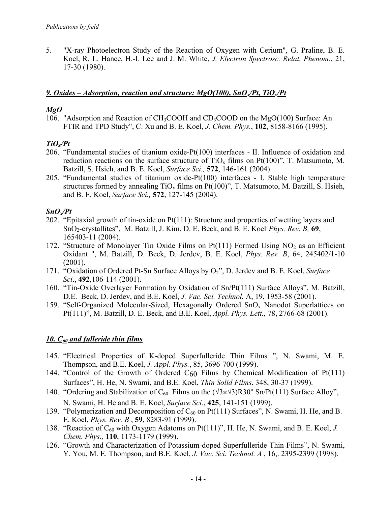5. "X-ray Photoelectron Study of the Reaction of Oxygen with Cerium", G. Praline, B. E. Koel, R. L. Hance, H.-I. Lee and J. M. White, *J. Electron Spectrosc. Relat. Phenom.*, 21, 17-30 (1980).

### *9. Oxides – Adsorption, reaction and structure: MgO(100), SnOx/Pt, TiOx/Pt*

#### *MgO*

106. "Adsorption and Reaction of CH3COOH and CD3COOD on the MgO(100) Surface: An FTIR and TPD Study", C. Xu and B. E. Koel, *J. Chem. Phys.*, **102**, 8158-8166 (1995).

### *TiOx/Pt*

- 206. "Fundamental studies of titanium oxide-Pt(100) interfaces II. Influence of oxidation and reduction reactions on the surface structure of  $TiO_x$  films on Pt(100)", T. Matsumoto, M. Batzill, S. Hsieh, and B. E. Koel, *Surface Sci.,* **572**, 146-161 (2004).
- 205. "Fundamental studies of titanium oxide-Pt(100) interfaces I. Stable high temperature structures formed by annealing  $TiO_x$  films on Pt(100)", T. Matsumoto, M. Batzill, S. Hsieh, and B. E. Koel, *Surface Sci.,* **572**, 127-145 (2004).

### *SnOx/Pt*

- 202. "Epitaxial growth of tin-oxide on Pt(111): Structure and properties of wetting layers and SnO<sub>2</sub>-crystallites", M. Batzill, J. Kim, D. E. Beck, and B. E. Koel<sup>, *Phys. Rev. B*, **69**,</sup> 165403-11 (2004).
- 172. "Structure of Monolayer Tin Oxide Films on  $Pt(111)$  Formed Using NO<sub>2</sub> as an Efficient Oxidant ", M. Batzill, D. Beck, D. Jerdev, B. E. Koel, *Phys. Rev. B*, 64, 245402/1-10 (2001).
- 171. "Oxidation of Ordered Pt-Sn Surface Alloys by O<sub>2</sub>", D. Jerdev and B. E. Koel, *Surface Sci*., **492**,106-114 (2001).
- 160. "Tin-Oxide Overlayer Formation by Oxidation of Sn/Pt(111) Surface Alloys", M. Batzill, D.E. Beck, D. Jerdev, and B.E. Koel, *J. Vac. Sci. Technol.* A, 19, 1953-58 (2001).
- 159. "Self-Organized Molecular-Sized, Hexagonally Ordered  $SnO<sub>x</sub>$  Nanodot Superlattices on Pt(111)", M. Batzill, D. E. Beck, and B.E. Koel, *Appl. Phys. Lett.*, 78, 2766-68 (2001).

### *10. C60 and fulleride thin films*

- 145. "Electrical Properties of K-doped Superfulleride Thin Films ", N. Swami, M. E. Thompson, and B.E. Koel, *J. Appl. Phys.*, 85, 3696-700 (1999).
- 144. "Control of the Growth of Ordered C60 Films by Chemical Modification of Pt(111) Surfaces", H. He, N. Swami, and B.E. Koel, *Thin Solid Films*, 348, 30-37 (1999).
- 140. "Ordering and Stabilization of  $C_{60}$  Films on the  $(\sqrt{3} \times \sqrt{3})R30^{\circ}$  Sn/Pt(111) Surface Alloy", N. Swami, H. He and B. E. Koel, *Surface Sci.*, **425**, 141-151 (1999).
- 139. "Polymerization and Decomposition of  $C_{60}$  on Pt(111) Surfaces", N. Swami, H. He, and B. E. Koel, *Phys. Rev. B* , **59**, 8283-91 (1999).
- 138. "Reaction of C60 with Oxygen Adatoms on Pt(111)", H. He, N. Swami, and B. E. Koel, *J. Chem. Phys.,* **110**, 1173-1179 (1999).
- 126. "Growth and Characterization of Potassium-doped Superfulleride Thin Films", N. Swami, Y. You, M. E. Thompson, and B.E. Koel, *J. Vac. Sci. Technol. A* , 16,. 2395-2399 (1998).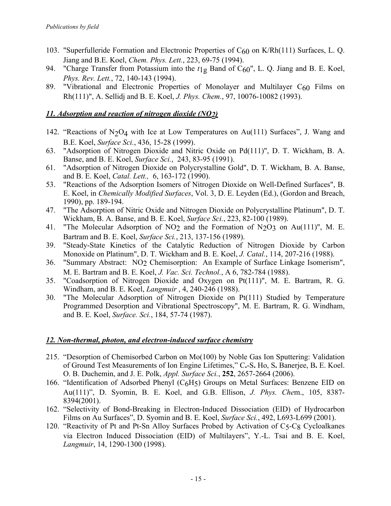- 103. "Superfulleride Formation and Electronic Properties of C60 on K/Rh(111) Surfaces, L. Q. Jiang and B.E. Koel, *Chem. Phys. Lett.*, 223, 69-75 (1994).
- 94. "Charge Transfer from Potassium into the  $t_1$ g Band of C<sub>60</sub>", L. Q. Jiang and B. E. Koel, *Phys. Rev. Lett.*, 72, 140-143 (1994).
- 89. "Vibrational and Electronic Properties of Monolayer and Multilayer C60 Films on Rh(111)", A. Sellidj and B. E. Koel, *J. Phys. Chem.*, 97, 10076-10082 (1993).

## *11. Adsorption and reaction of nitrogen dioxide (NO2)*

- 142. "Reactions of  $N_2O_4$  with Ice at Low Temperatures on Au(111) Surfaces", J. Wang and B.E. Koel, *Surface Sci.*, 436, 15-28 (1999).
- 63. "Adsorption of Nitrogen Dioxide and Nitric Oxide on Pd(111)", D. T. Wickham, B. A. Banse, and B. E. Koel, *Surface Sci.*, 243, 83-95 (1991).
- 61. "Adsorption of Nitrogen Dioxide on Polycrystalline Gold", D. T. Wickham, B. A. Banse, and B. E. Koel, *Catal. Lett.,* 6, 163-172 (1990).
- 53. "Reactions of the Adsorption Isomers of Nitrogen Dioxide on Well-Defined Surfaces", B. E. Koel, in *Chemically Modified Surfaces*, Vol. 3, D. E. Leyden (Ed.), (Gordon and Breach, 1990), pp. 189-194.
- 47. "The Adsorption of Nitric Oxide and Nitrogen Dioxide on Polycrystalline Platinum", D. T. Wickham, B. A. Banse, and B. E. Koel, *Surface Sci.*, 223, 82-100 (1989).
- 41. "The Molecular Adsorption of NO2 and the Formation of N2O3 on Au(111)", M. E. Bartram and B. E. Koel, *Surface Sci.*, 213, 137-156 (1989).
- 39. "Steady-State Kinetics of the Catalytic Reduction of Nitrogen Dioxide by Carbon Monoxide on Platinum", D. T. Wickham and B. E. Koel, *J. Catal.*, 114, 207-216 (1988).
- 36. "Summary Abstract: NO2 Chemisorption: An Example of Surface Linkage Isomerism", M. E. Bartram and B. E. Koel, *J. Vac. Sci. Technol.*, A 6, 782-784 (1988).
- 35. "Coadsorption of Nitrogen Dioxide and Oxygen on Pt(111)", M. E. Bartram, R. G. Windham, and B. E. Koel, *Langmuir* , 4, 240-246 (1988).
- 30. "The Molecular Adsorption of Nitrogen Dioxide on Pt(111) Studied by Temperature Programmed Desorption and Vibrational Spectroscopy", M. E. Bartram, R. G. Windham, and B. E. Koel, *Surface. Sci.*, 184, 57-74 (1987).

### *12. Non-thermal, photon, and electron-induced surface chemistry*

- 215. "Desorption of Chemisorbed Carbon on Mo(100) by Noble Gas Ion Sputtering: Validation of Ground Test Measurements of Ion Engine Lifetimes," C**.**-S**.** Ho, S**.** Banerjee, B**.** E. Koel. O. B. Duchemin, and J. E. Polk, *Appl. Surface Sci.*, **252**, 2657-2664 (2006).
- 166. "Identification of Adsorbed Phenyl (C6H5) Groups on Metal Surfaces: Benzene EID on Au(111)", D. Syomin, B. E. Koel, and G.B. Ellison, *J. Phys. Che*m., 105, 8387- 8394(2001).
- 162. "Selectivity of Bond-Breaking in Electron-Induced Dissociation (EID) of Hydrocarbon Films on Au Surfaces", D. Syomin and B. E. Koel, *Surface Sci.*, 492, L693-L699 (2001).
- 120. "Reactivity of Pt and Pt-Sn Alloy Surfaces Probed by Activation of C5-C8 Cycloalkanes via Electron Induced Dissociation (EID) of Multilayers", Y.-L. Tsai and B. E. Koel, *Langmuir*, 14, 1290-1300 (1998).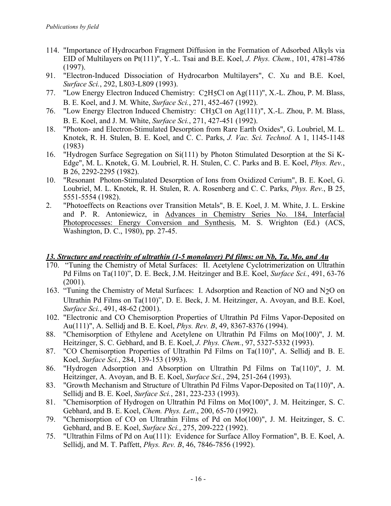- 114. "Importance of Hydrocarbon Fragment Diffusion in the Formation of Adsorbed Alkyls via EID of Multilayers on Pt(111)", Y.-L. Tsai and B.E. Koel, *J. Phys. Chem.*, 101, 4781-4786 (1997).
- 91. "Electron-Induced Dissociation of Hydrocarbon Multilayers", C. Xu and B.E. Koel, *Surface Sci.*, 292, L803-L809 (1993).
- 77. "Low Energy Electron Induced Chemistry: C2H5Cl on Ag(111)", X.-L. Zhou, P. M. Blass, B. E. Koel, and J. M. White, *Surface Sci.*, 271, 452-467 (1992).
- 76. "Low Energy Electron Induced Chemistry: CH3Cl on Ag(111)", X.-L. Zhou, P. M. Blass, B. E. Koel, and J. M. White, *Surface Sci.*, 271, 427-451 (1992).
- 18. "Photon- and Electron-Stimulated Desorption from Rare Earth Oxides", G. Loubriel, M. L. Knotek, R. H. Stulen, B. E. Koel, and C. C. Parks, *J. Vac. Sci. Technol.* A 1, 1145-1148 (1983)
- 16. "Hydrogen Surface Segregation on Si(111) by Photon Stimulated Desorption at the Si K-Edge", M. L. Knotek, G. M. Loubriel, R. H. Stulen, C. C. Parks and B. E. Koel, *Phys. Rev.*, B 26, 2292-2295 (1982).
- 10. "Resonant Photon-Stimulated Desorption of Ions from Oxidized Cerium", B. E. Koel, G. Loubriel, M. L. Knotek, R. H. Stulen, R. A. Rosenberg and C. C. Parks, *Phys. Rev.*, B 25, 5551-5554 (1982).
- 2. "Photoeffects on Reactions over Transition Metals", B. E. Koel, J. M. White, J. L. Erskine and P. R. Antoniewicz, in Advances in Chemistry Series No. 184, Interfacial Photoprocesses: Energy Conversion and Synthesis, M. S. Wrighton (Ed.) (ACS, Washington, D. C., 1980), pp. 27-45.

### *13. Structure and reactivity of ultrathin (1-5 monolayer) Pd films: on Nb, Ta, Mo, and Au*

- 170. "Tuning the Chemistry of Metal Surfaces: II. Acetylene Cyclotrimerization on Ultrathin Pd Films on Ta(110)", D. E. Beck, J.M. Heitzinger and B.E. Koel, *Surface Sci.*, 491, 63-76 (2001).
- 163. "Tuning the Chemistry of Metal Surfaces: I. Adsorption and Reaction of NO and N2O on Ultrathin Pd Films on Ta(110)", D. E. Beck, J. M. Heitzinger, A. Avoyan, and B.E. Koel, *Surface Sci.*, 491, 48-62 (2001).
- 102. "Electronic and CO Chemisorption Properties of Ultrathin Pd Films Vapor-Deposited on Au(111)", A. Sellidj and B. E. Koel, *Phys. Rev. B*, 49, 8367-8376 (1994).
- 88. "Chemisorption of Ethylene and Acetylene on Ultrathin Pd Films on Mo(100)", J. M. Heitzinger, S. C. Gebhard, and B. E. Koel, *J. Phys. Chem.*, 97, 5327-5332 (1993).
- 87. "CO Chemisorption Properties of Ultrathin Pd Films on Ta(110)", A. Sellidj and B. E. Koel, *Surface Sci.*, 284, 139-153 (1993).
- 86. "Hydrogen Adsorption and Absorption on Ultrathin Pd Films on Ta(110)", J. M. Heitzinger, A. Avoyan, and B. E. Koel, *Surface Sci.*, 294, 251-264 (1993).
- 83. "Growth Mechanism and Structure of Ultrathin Pd Films Vapor-Deposited on Ta(110)", A. Sellidj and B. E. Koel, *Surface Sci.*, 281, 223-233 (1993).
- 81. "Chemisorption of Hydrogen on Ultrathin Pd Films on Mo(100)", J. M. Heitzinger, S. C. Gebhard, and B. E. Koel, *Chem. Phys. Lett*., 200, 65-70 (1992).
- 79. "Chemisorption of CO on Ultrathin Films of Pd on Mo(100)", J. M. Heitzinger, S. C. Gebhard, and B. E. Koel, *Surface Sci.*, 275, 209-222 (1992).
- 75. "Ultrathin Films of Pd on Au(111): Evidence for Surface Alloy Formation", B. E. Koel, A. Sellidj, and M. T. Paffett, *Phys. Rev. B*, 46, 7846-7856 (1992).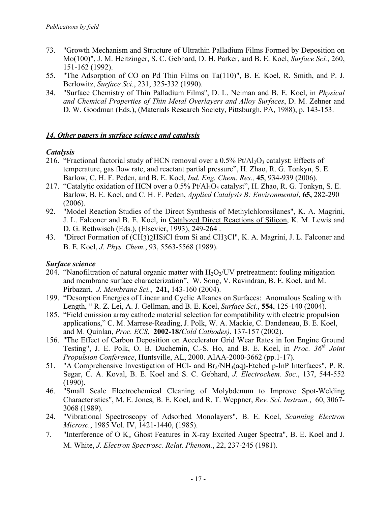- 73. "Growth Mechanism and Structure of Ultrathin Palladium Films Formed by Deposition on Mo(100)", J. M. Heitzinger, S. C. Gebhard, D. H. Parker, and B. E. Koel, *Surface Sci.*, 260, 151-162 (1992).
- 55. "The Adsorption of CO on Pd Thin Films on Ta(110)", B. E. Koel, R. Smith, and P. J. Berlowitz, *Surface Sci.*, 231, 325-332 (1990).
- 34. "Surface Chemistry of Thin Palladium Films", D. L. Neiman and B. E. Koel, in *Physical and Chemical Properties of Thin Metal Overlayers and Alloy Surfaces*, D. M. Zehner and D. W. Goodman (Eds.), (Materials Research Society, Pittsburgh, PA, 1988), p. 143-153.

## *14. Other papers in surface science and catalysis*

## *Catalysis*

- 216. "Fractional factorial study of HCN removal over a  $0.5\%$  Pt/Al<sub>2</sub>O<sub>3</sub> catalyst: Effects of temperature, gas flow rate, and reactant partial pressure", H. Zhao, R. G. Tonkyn, S. E. Barlow, C. H. F. Peden, and B. E. Koel, *Ind. Eng. Chem. Res.,* **45**, 934-939 (2006).
- 217. "Catalytic oxidation of HCN over a 0.5% Pt/Al<sub>2</sub>O<sub>3</sub> catalyst", H. Zhao, R. G. Tonkyn, S. E. Barlow, B. E. Koel, and C. H. F. Peden, *Applied Catalysis B: Environmental*, **65,** 282-290  $(2006)$ .
- 92. "Model Reaction Studies of the Direct Synthesis of Methylchlorosilanes", K. A. Magrini, J. L. Falconer and B. E. Koel, in Catalyzed Direct Reactions of Silicon, K. M. Lewis and D. G. Rethwisch (Eds.), (Elsevier, 1993), 249-264 .
- 43. "Direct Formation of (CH3)2HSiCl from Si and CH3Cl", K. A. Magrini, J. L. Falconer and B. E. Koel, *J. Phys. Chem.*, 93, 5563-5568 (1989).

### *Surface science*

- 204. "Nanofiltration of natural organic matter with  $H_2O_2$ /UV pretreatment: fouling mitigation and membrane surface characterization", W. Song, V. Ravindran, B. E. Koel, and M. Pirbazari, *J. Membrane Sci.*, **241,** 143-160 (2004).
- 199. "Desorption Energies of Linear and Cyclic Alkanes on Surfaces: Anomalous Scaling with Length, " R. Z. Lei, A. J. Gellman, and B. E. Koel, *Surface Sci.*, **554**, 125-140 (2004).
- 185. "Field emission array cathode material selection for compatibility with electric propulsion applications," C. M. Marrese-Reading, J. Polk, W. A. Mackie, C. Dandeneau, B. E. Koel, and M. Quinlan, *Proc. ECS*, **2002-18***(Cold Cathodes)*, 137-157 (2002).
- 156. "The Effect of Carbon Deposition on Accelerator Grid Wear Rates in Ion Engine Ground Testing", J. E. Polk, O. B. Duchemin, C.-S. Ho, and B. E. Koel, in *Proc. 36th Joint Propulsion Conference*, Huntsville, AL, 2000. AIAA-2000-3662 (pp.1-17).
- 51. "A Comprehensive Investigation of HCl- and Br2/NH3(aq)-Etched p-InP Interfaces", P. R. Segar, C. A. Koval, B. E. Koel and S. C. Gebhard, *J. Electrochem. Soc.*, 137, 544-552 (1990).
- 46. "Small Scale Electrochemical Cleaning of Molybdenum to Improve Spot-Welding Characteristics", M. E. Jones, B. E. Koel, and R. T. Weppner, *Rev. Sci. Instrum.*, 60, 3067- 3068 (1989).
- 24. "Vibrational Spectroscopy of Adsorbed Monolayers", B. E. Koel, *Scanning Electron Microsc.*, 1985 Vol. IV, 1421-1440, (1985).
- 7. "Interference of O  $K_{\alpha}$  Ghost Features in X-ray Excited Auger Spectra", B. E. Koel and J. M. White, *J. Electron Spectrosc. Relat. Phenom.*, 22, 237-245 (1981).